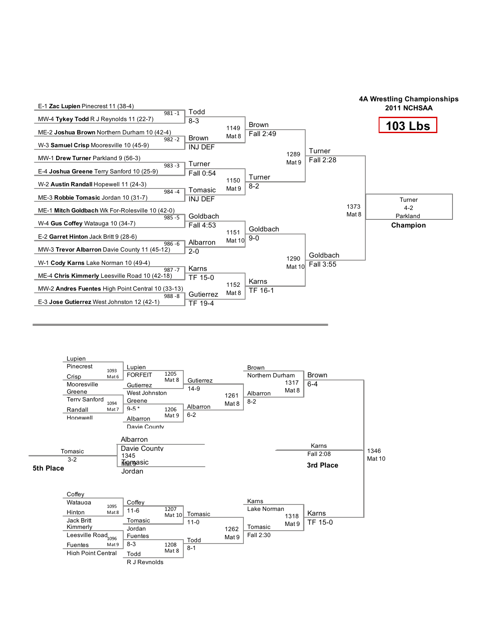



4A Wrestling Championships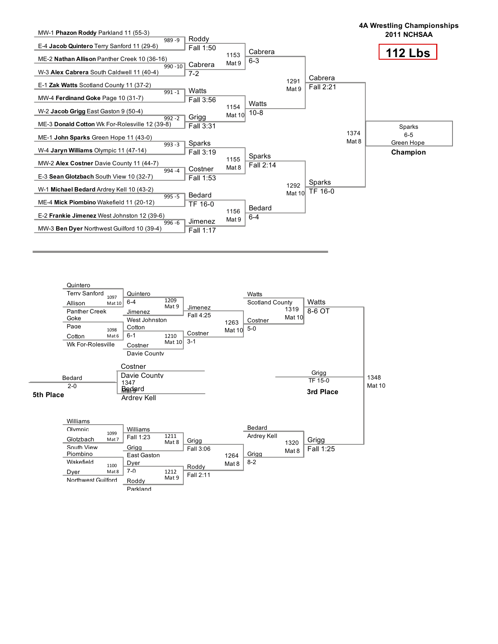

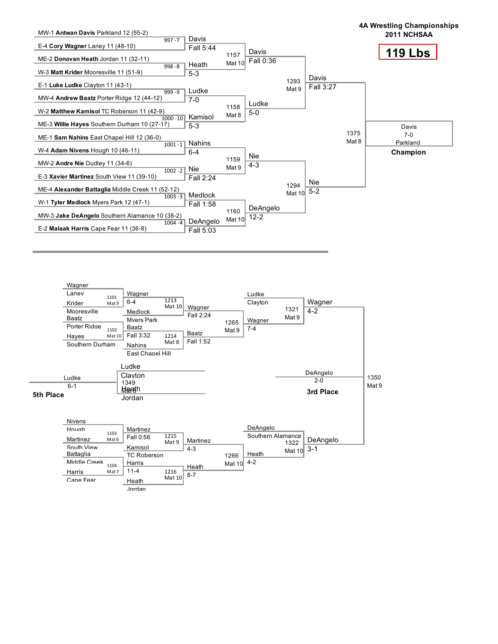

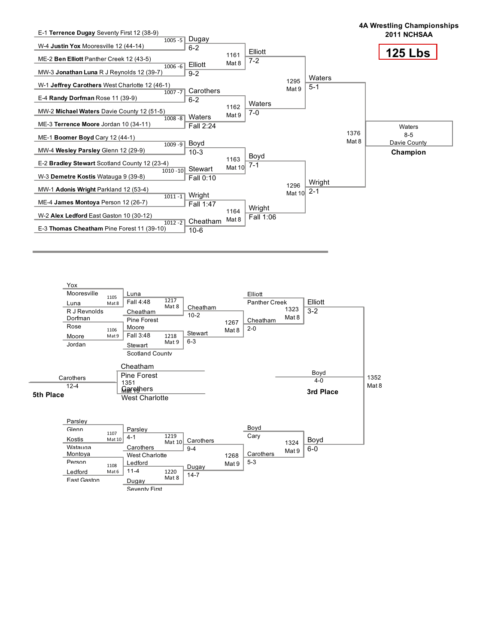

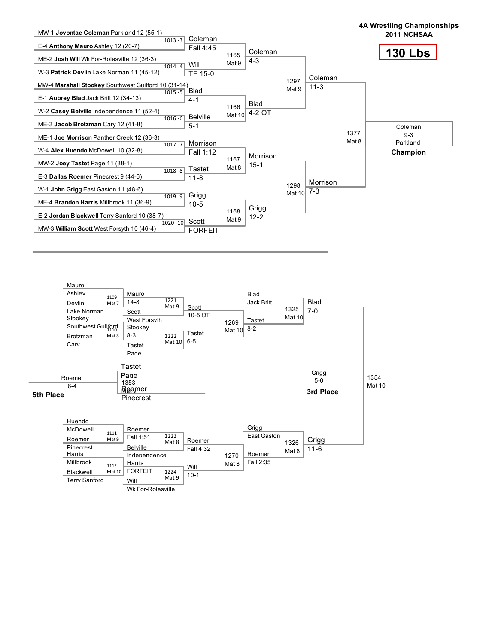

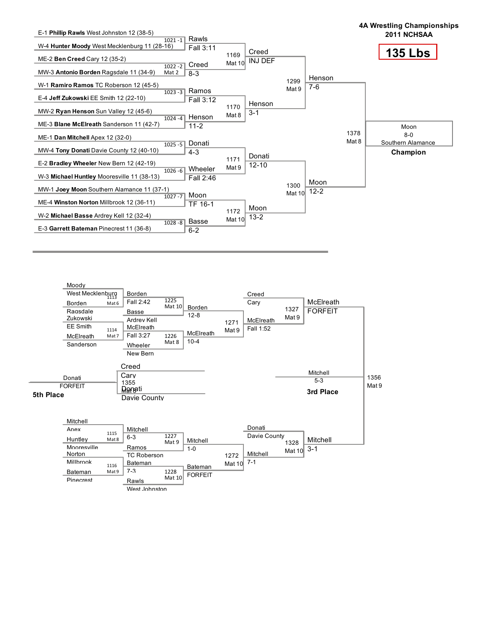

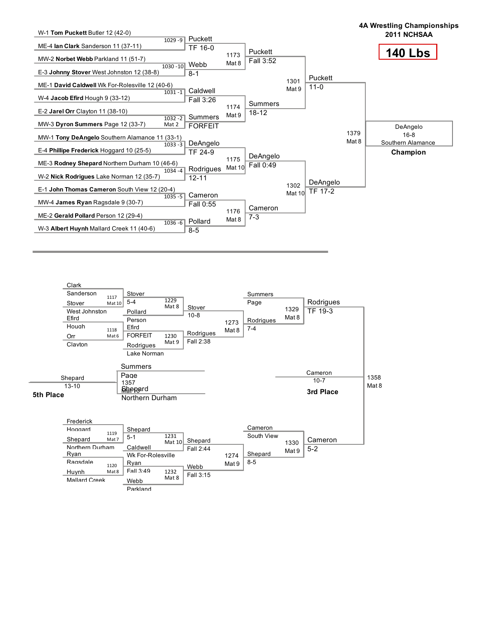

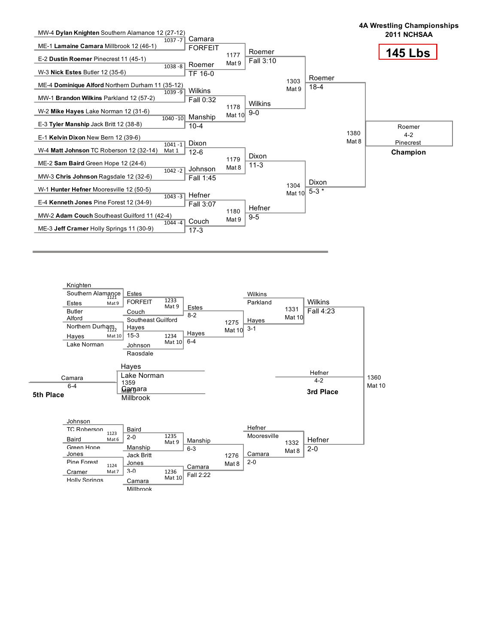

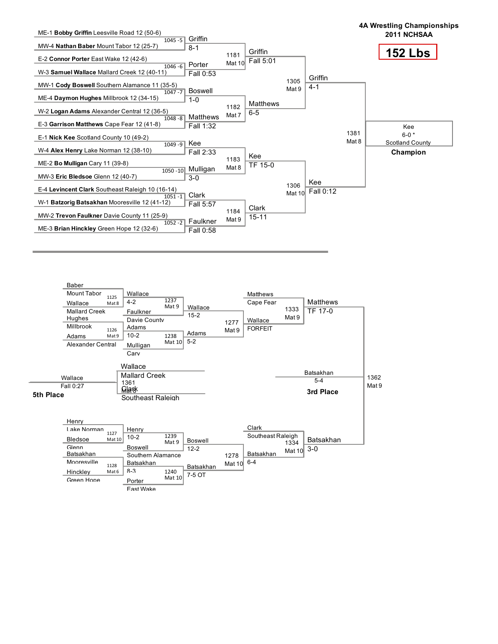

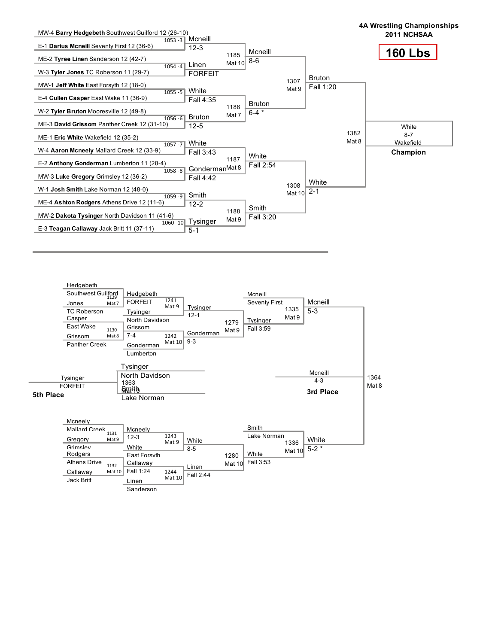

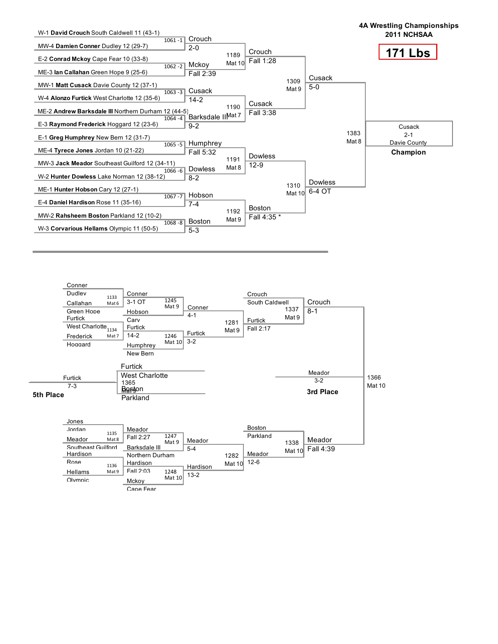

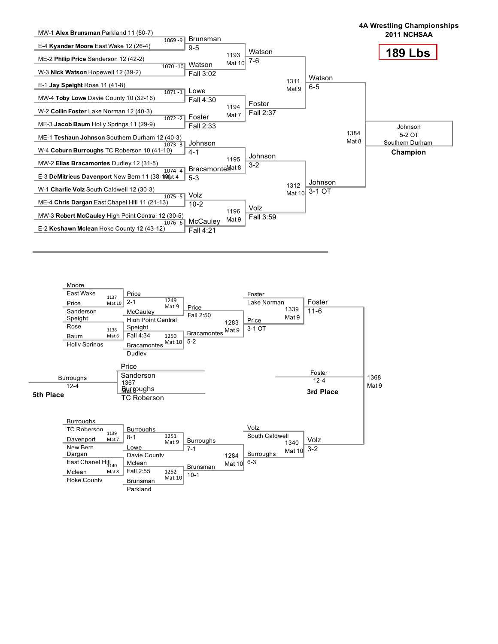



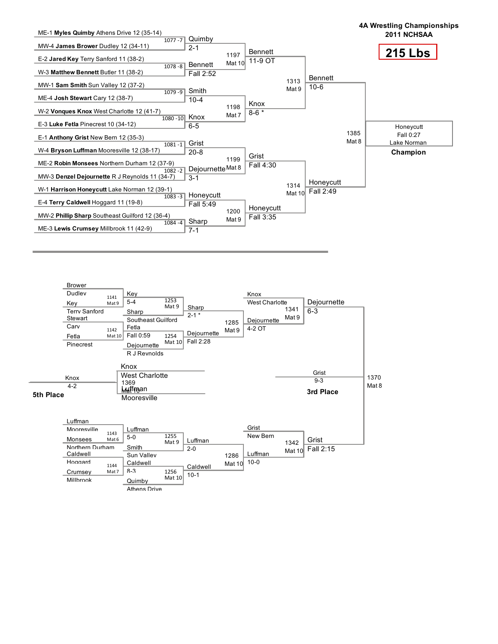